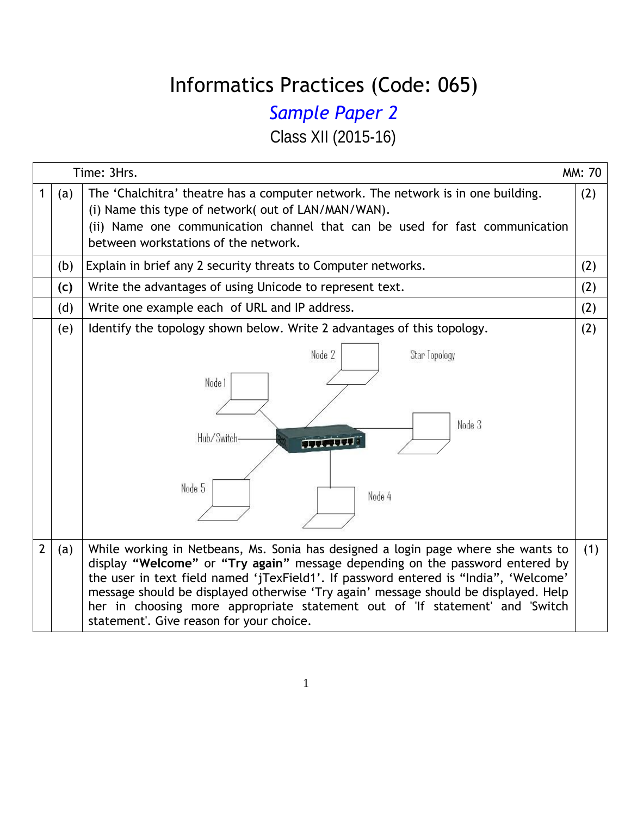## Informatics Practices (Code: 065)

## *Sample Paper 2*

Class XII (2015-16)

|                |     | Time: 3Hrs.                                                                                                                                                                                                                                                                                                                                                                                                                                                                   | MM: 70 |  |  |  |  |  |
|----------------|-----|-------------------------------------------------------------------------------------------------------------------------------------------------------------------------------------------------------------------------------------------------------------------------------------------------------------------------------------------------------------------------------------------------------------------------------------------------------------------------------|--------|--|--|--|--|--|
| 1              | (a) | The 'Chalchitra' theatre has a computer network. The network is in one building.<br>(i) Name this type of network( out of LAN/MAN/WAN).<br>(ii) Name one communication channel that can be used for fast communication<br>between workstations of the network.                                                                                                                                                                                                                | (2)    |  |  |  |  |  |
|                | (b) | Explain in brief any 2 security threats to Computer networks.                                                                                                                                                                                                                                                                                                                                                                                                                 | (2)    |  |  |  |  |  |
|                | (c) | Write the advantages of using Unicode to represent text.                                                                                                                                                                                                                                                                                                                                                                                                                      | (2)    |  |  |  |  |  |
|                | (d) | Write one example each of URL and IP address.<br>(2)                                                                                                                                                                                                                                                                                                                                                                                                                          |        |  |  |  |  |  |
|                | (e) | Identify the topology shown below. Write 2 advantages of this topology.<br>Node 2<br>Star Topology<br>Node 1<br>Node 3<br>Hub/Switch-<br><b>SECTION</b><br>Node 5<br>Node 4                                                                                                                                                                                                                                                                                                   | (2)    |  |  |  |  |  |
| $\overline{2}$ | (a) | While working in Netbeans, Ms. Sonia has designed a login page where she wants to<br>display "Welcome" or "Try again" message depending on the password entered by<br>the user in text field named 'jTexField1'. If password entered is "India", 'Welcome'<br>message should be displayed otherwise 'Try again' message should be displayed. Help<br>her in choosing more appropriate statement out of 'If statement' and 'Switch<br>statement'. Give reason for your choice. | (1)    |  |  |  |  |  |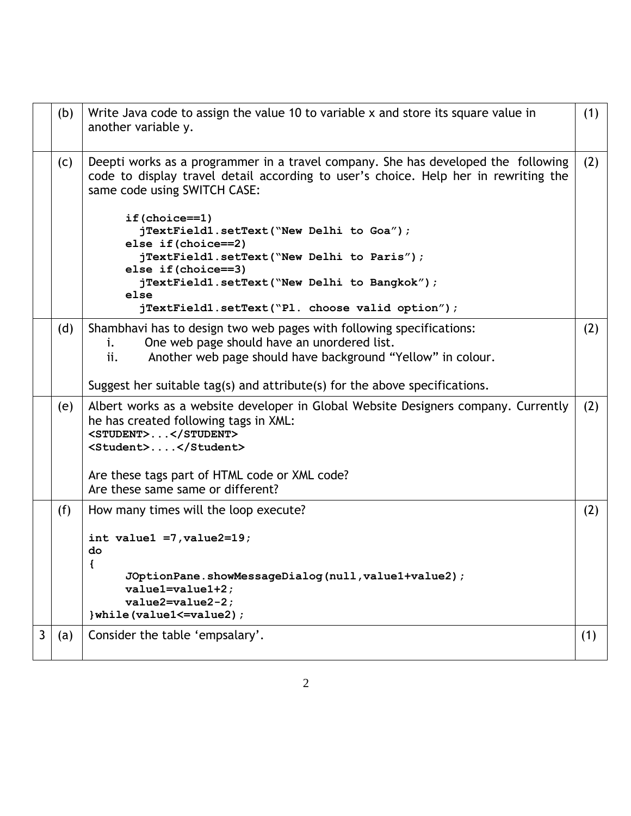|   | (b) | Write Java code to assign the value 10 to variable x and store its square value in<br>another variable y.                                                                                                | (1) |
|---|-----|----------------------------------------------------------------------------------------------------------------------------------------------------------------------------------------------------------|-----|
|   | (C) | Deepti works as a programmer in a travel company. She has developed the following<br>code to display travel detail according to user's choice. Help her in rewriting the<br>same code using SWITCH CASE: | (2) |
|   |     | if(choice==1)<br>jTextField1.setText("New Delhi to Goa");<br>else if (choice==2)<br>jTextField1.setText("New Delhi to Paris");                                                                           |     |
|   |     | else if (choice==3)<br>jTextField1.setText("New Delhi to Bangkok");<br>else<br>jTextField1.setText("Pl. choose valid option");                                                                           |     |
|   | (d) | Shambhavi has to design two web pages with following specifications:<br>One web page should have an unordered list.<br>i.<br>Another web page should have background "Yellow" in colour.<br>ii.          | (2) |
|   |     | Suggest her suitable tag(s) and attribute(s) for the above specifications.                                                                                                                               |     |
|   | (e) | Albert works as a website developer in Global Website Designers company. Currently<br>he has created following tags in XML:<br><student></student><br><student></student>                                | (2) |
|   |     | Are these tags part of HTML code or XML code?<br>Are these same same or different?                                                                                                                       |     |
|   | (f) | How many times will the loop execute?                                                                                                                                                                    | (2) |
|   |     | int value1 = $7,$ value2=19;<br>do<br>{                                                                                                                                                                  |     |
|   |     | JOptionPane.showMessageDialog(null, value1+value2);<br>value1=value1+2;<br>$value2 = value2 - 2;$<br>}while(value1 <= value2);                                                                           |     |
| 3 | (a) | Consider the table 'empsalary'.                                                                                                                                                                          | (1) |
|   |     |                                                                                                                                                                                                          |     |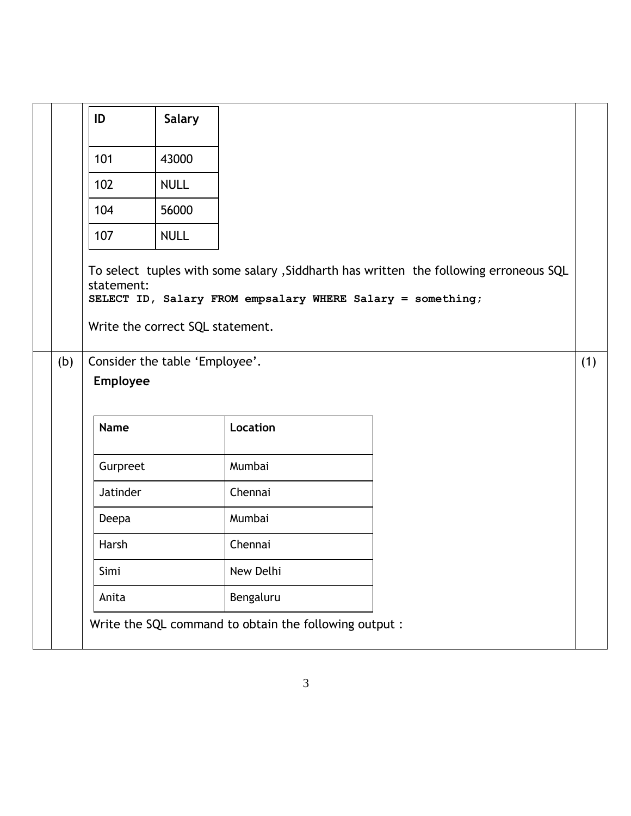|     | ID              | <b>Salary</b>                    |                                                            |                                                                                       |     |
|-----|-----------------|----------------------------------|------------------------------------------------------------|---------------------------------------------------------------------------------------|-----|
|     | 101             | 43000                            |                                                            |                                                                                       |     |
|     | 102             | <b>NULL</b>                      |                                                            |                                                                                       |     |
|     | 104             | 56000                            |                                                            |                                                                                       |     |
|     | 107             | <b>NULL</b>                      |                                                            |                                                                                       |     |
|     | statement:      | Write the correct SQL statement. | SELECT ID, Salary FROM empsalary WHERE Salary = something; | To select tuples with some salary , Siddharth has written the following erroneous SQL |     |
| (b) | <b>Employee</b> | Consider the table 'Employee'.   |                                                            |                                                                                       | (1) |
|     | <b>Name</b>     |                                  | Location                                                   |                                                                                       |     |
|     | Gurpreet        |                                  | Mumbai                                                     |                                                                                       |     |
|     | Jatinder        |                                  | Chennai                                                    |                                                                                       |     |
|     | Deepa           |                                  | Mumbai                                                     |                                                                                       |     |
|     | Harsh           |                                  | Chennai                                                    |                                                                                       |     |
|     | Simi            |                                  | New Delhi                                                  |                                                                                       |     |
|     | Anita           |                                  | Bengaluru                                                  |                                                                                       |     |
|     |                 |                                  | Write the SQL command to obtain the following output :     |                                                                                       |     |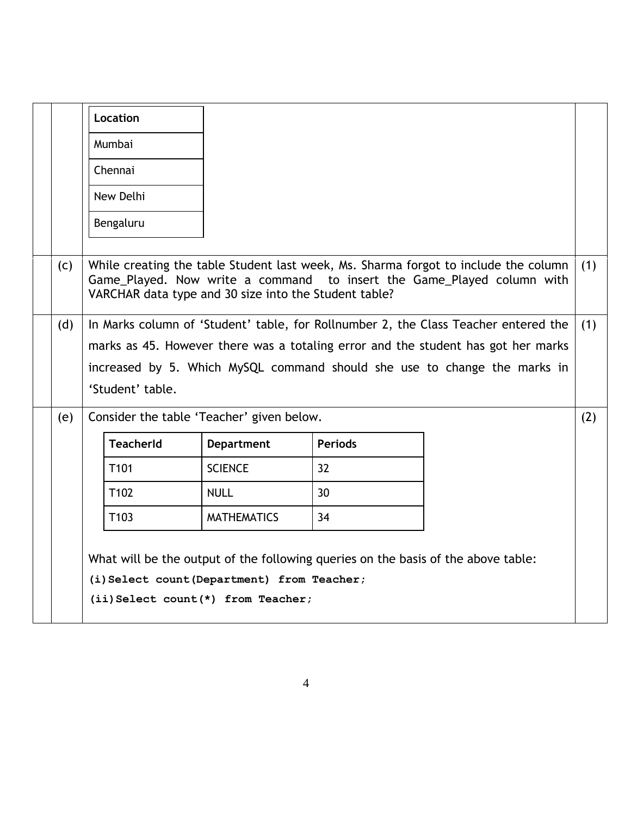|     | Location                                                                                                                                                                                                                                                                         |                    |                                                                                   |                                                                                                                                                               |     |  |  |  |
|-----|----------------------------------------------------------------------------------------------------------------------------------------------------------------------------------------------------------------------------------------------------------------------------------|--------------------|-----------------------------------------------------------------------------------|---------------------------------------------------------------------------------------------------------------------------------------------------------------|-----|--|--|--|
|     | Mumbai                                                                                                                                                                                                                                                                           |                    |                                                                                   |                                                                                                                                                               |     |  |  |  |
|     | Chennai                                                                                                                                                                                                                                                                          |                    |                                                                                   |                                                                                                                                                               |     |  |  |  |
|     | New Delhi                                                                                                                                                                                                                                                                        |                    |                                                                                   |                                                                                                                                                               |     |  |  |  |
|     | Bengaluru                                                                                                                                                                                                                                                                        |                    |                                                                                   |                                                                                                                                                               |     |  |  |  |
| (C) | VARCHAR data type and 30 size into the Student table?                                                                                                                                                                                                                            |                    |                                                                                   | While creating the table Student last week, Ms. Sharma forgot to include the column<br>Game_Played. Now write a command to insert the Game_Played column with | (1) |  |  |  |
| (d) | In Marks column of 'Student' table, for Rollnumber 2, the Class Teacher entered the<br>(1)<br>marks as 45. However there was a totaling error and the student has got her marks<br>increased by 5. Which MySQL command should she use to change the marks in<br>'Student' table. |                    |                                                                                   |                                                                                                                                                               |     |  |  |  |
| (e) | Consider the table 'Teacher' given below.                                                                                                                                                                                                                                        |                    |                                                                                   |                                                                                                                                                               | (2) |  |  |  |
|     | <b>TeacherId</b>                                                                                                                                                                                                                                                                 | <b>Department</b>  | <b>Periods</b>                                                                    |                                                                                                                                                               |     |  |  |  |
|     | T <sub>101</sub>                                                                                                                                                                                                                                                                 | <b>SCIENCE</b>     | 32                                                                                |                                                                                                                                                               |     |  |  |  |
|     | T <sub>102</sub>                                                                                                                                                                                                                                                                 | <b>NULL</b>        | 30                                                                                |                                                                                                                                                               |     |  |  |  |
|     | T103                                                                                                                                                                                                                                                                             | <b>MATHEMATICS</b> | 34                                                                                |                                                                                                                                                               |     |  |  |  |
|     | (i) Select count (Department) from Teacher;<br>(ii) Select count (*) from Teacher;                                                                                                                                                                                               |                    | What will be the output of the following queries on the basis of the above table: |                                                                                                                                                               |     |  |  |  |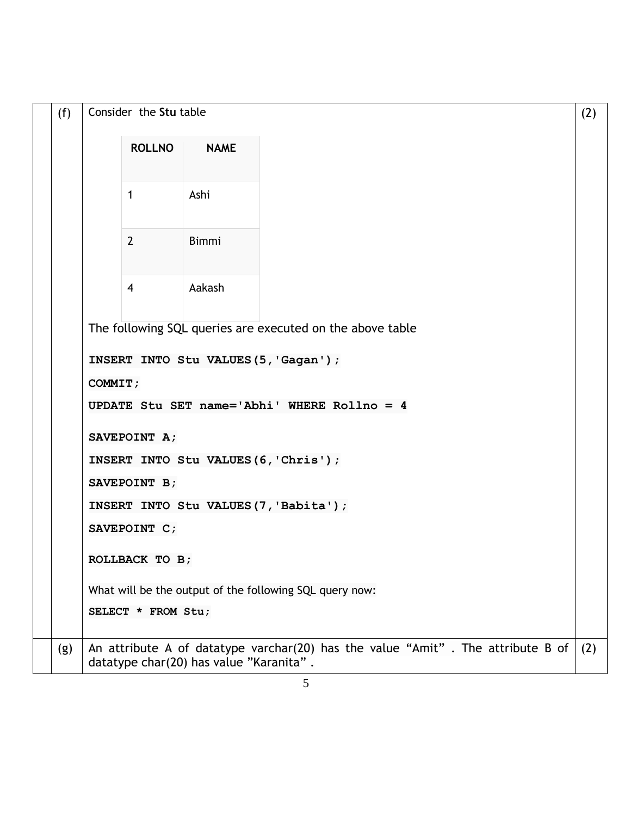| (f) | Consider the Stu table                                    |                |                                         |                                                                                 |     |  |  |
|-----|-----------------------------------------------------------|----------------|-----------------------------------------|---------------------------------------------------------------------------------|-----|--|--|
|     |                                                           | <b>ROLLNO</b>  | <b>NAME</b>                             |                                                                                 |     |  |  |
|     |                                                           | $\mathbf{1}$   | Ashi                                    |                                                                                 |     |  |  |
|     |                                                           | $\overline{2}$ | <b>Bimmi</b>                            |                                                                                 |     |  |  |
|     |                                                           | $\overline{4}$ | Aakash                                  |                                                                                 |     |  |  |
|     | The following SQL queries are executed on the above table |                |                                         |                                                                                 |     |  |  |
|     | INSERT INTO Stu VALUES (5, 'Gagan');                      |                |                                         |                                                                                 |     |  |  |
|     | COMMIT;                                                   |                |                                         |                                                                                 |     |  |  |
|     | UPDATE Stu SET name='Abhi' WHERE Rollno = 4               |                |                                         |                                                                                 |     |  |  |
|     | SAVEPOINT A;                                              |                |                                         |                                                                                 |     |  |  |
|     | INSERT INTO Stu VALUES (6, 'Chris');                      |                |                                         |                                                                                 |     |  |  |
|     | SAVEPOINT B;                                              |                |                                         |                                                                                 |     |  |  |
|     | INSERT INTO Stu VALUES(7, 'Babita');                      |                |                                         |                                                                                 |     |  |  |
|     |                                                           | SAVEPOINT C;   |                                         |                                                                                 |     |  |  |
|     |                                                           | ROLLBACK TO B; |                                         |                                                                                 |     |  |  |
|     | What will be the output of the following SQL query now:   |                |                                         |                                                                                 |     |  |  |
|     | SELECT * FROM Stu;                                        |                |                                         |                                                                                 |     |  |  |
| (g) |                                                           |                | datatype char(20) has value "Karanita". | An attribute A of datatype varchar(20) has the value "Amit". The attribute B of | (2) |  |  |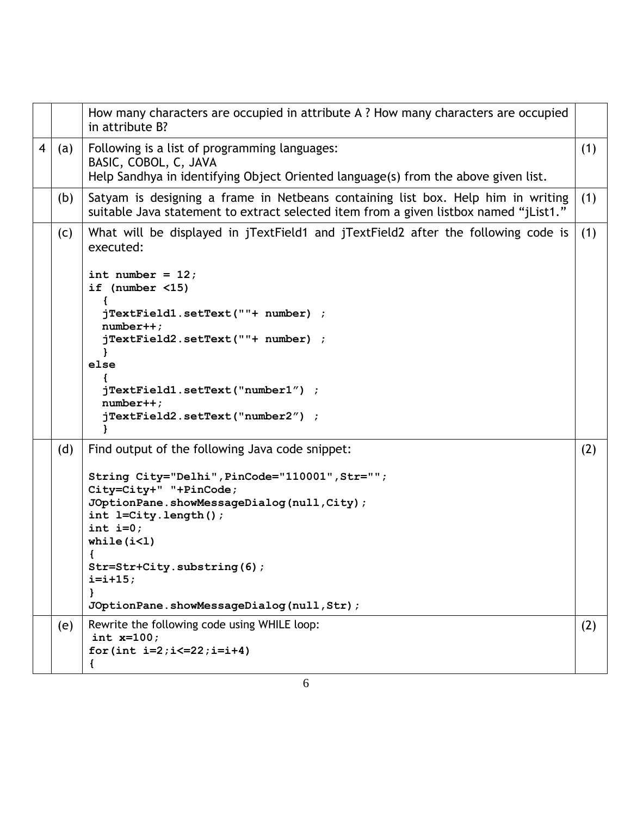|                         |     | How many characters are occupied in attribute A ? How many characters are occupied<br>in attribute B?                                                                                                                                                                                                                                            |     |
|-------------------------|-----|--------------------------------------------------------------------------------------------------------------------------------------------------------------------------------------------------------------------------------------------------------------------------------------------------------------------------------------------------|-----|
| $\overline{\mathbf{4}}$ | (a) | Following is a list of programming languages:<br>BASIC, COBOL, C, JAVA<br>Help Sandhya in identifying Object Oriented language(s) from the above given list.                                                                                                                                                                                     | (1) |
|                         | (b) | Satyam is designing a frame in Netbeans containing list box. Help him in writing<br>suitable Java statement to extract selected item from a given listbox named "jList1."                                                                                                                                                                        | (1) |
|                         | (C) | What will be displayed in jTextField1 and jTextField2 after the following code is<br>executed:<br>int number = $12$ ;<br>if (number $\langle 15 \rangle$<br>jTextField1.setText(""+ number) ;<br>$number++;$<br>jTextField2.setText(""+ number) ;<br>else<br>jTextField1.setText("number1") ;<br>$number++;$<br>jTextField2.setText("number2") ; | (1) |
|                         | (d) | Find output of the following Java code snippet:<br>String City="Delhi", PinCode="110001", Str="";<br>City=City+" "+PinCode;<br>JOptionPane.showMessageDialog(null,City);<br>int l=City.length();<br>int $i=0;$<br>while $(i<1)$<br>€<br>Str=Str+City.substring(6);<br>$i = i + 15;$<br>ł<br>JOptionPane.showMessageDialog(null, Str);            | (2) |
|                         | (e) | Rewrite the following code using WHILE loop:<br>int $x=100;$<br>for(int $i=2; i<=22; i=i+4$ )                                                                                                                                                                                                                                                    | (2) |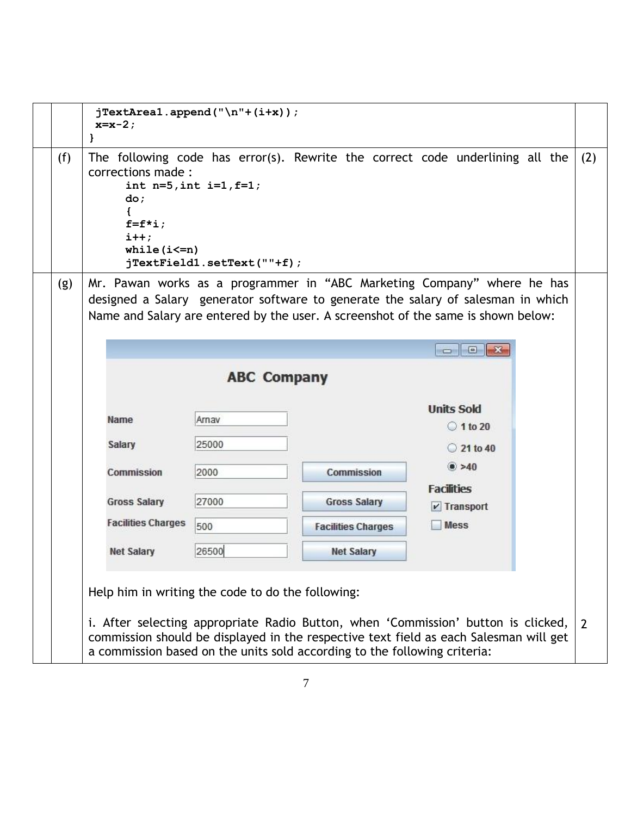|  |     | $x=x-2;$<br>ł                                                                                                                                                                                                                                           | $jTextArea1.append('\\n"+(i+x));$                             |                                                                                                                                                                                                                                                  |                                    |  |     |  |  |  |  |  |  |
|--|-----|---------------------------------------------------------------------------------------------------------------------------------------------------------------------------------------------------------------------------------------------------------|---------------------------------------------------------------|--------------------------------------------------------------------------------------------------------------------------------------------------------------------------------------------------------------------------------------------------|------------------------------------|--|-----|--|--|--|--|--|--|
|  | (f) | corrections made :<br>do;<br>$f=f*_{i};$<br>$i++;$<br>while $(i \leq n)$                                                                                                                                                                                | int $n=5$ , int $i=1$ , $f=1$ ;<br>jTextField1.setText(""+f); | The following code has error(s). Rewrite the correct code underlining all the                                                                                                                                                                    |                                    |  | (2) |  |  |  |  |  |  |
|  | (g) |                                                                                                                                                                                                                                                         |                                                               | Mr. Pawan works as a programmer in "ABC Marketing Company" where he has<br>designed a Salary generator software to generate the salary of salesman in which<br>Name and Salary are entered by the user. A screenshot of the same is shown below: |                                    |  |     |  |  |  |  |  |  |
|  |     | $\Box$   $\Box$   X                                                                                                                                                                                                                                     |                                                               |                                                                                                                                                                                                                                                  |                                    |  |     |  |  |  |  |  |  |
|  |     |                                                                                                                                                                                                                                                         | <b>ABC Company</b>                                            |                                                                                                                                                                                                                                                  |                                    |  |     |  |  |  |  |  |  |
|  |     | Name                                                                                                                                                                                                                                                    | Arnav                                                         |                                                                                                                                                                                                                                                  | <b>Units Sold</b>                  |  |     |  |  |  |  |  |  |
|  |     |                                                                                                                                                                                                                                                         |                                                               |                                                                                                                                                                                                                                                  | $\circ$ 1 to 20                    |  |     |  |  |  |  |  |  |
|  |     | <b>Salary</b>                                                                                                                                                                                                                                           | 25000                                                         |                                                                                                                                                                                                                                                  | 21 to 40                           |  |     |  |  |  |  |  |  |
|  |     | Commission                                                                                                                                                                                                                                              | 2000                                                          | <b>Commission</b>                                                                                                                                                                                                                                | $\bullet$ >40<br><b>Facilities</b> |  |     |  |  |  |  |  |  |
|  |     | <b>Gross Salary</b>                                                                                                                                                                                                                                     | 27000                                                         | <b>Gross Salary</b>                                                                                                                                                                                                                              | $\nu$ Transport                    |  |     |  |  |  |  |  |  |
|  |     | <b>Facilities Charges</b>                                                                                                                                                                                                                               | 500                                                           | <b>Facilities Charges</b>                                                                                                                                                                                                                        | <b>Mess</b>                        |  |     |  |  |  |  |  |  |
|  |     | <b>Net Salary</b>                                                                                                                                                                                                                                       | 26500                                                         | <b>Net Salary</b>                                                                                                                                                                                                                                |                                    |  |     |  |  |  |  |  |  |
|  |     |                                                                                                                                                                                                                                                         |                                                               |                                                                                                                                                                                                                                                  |                                    |  |     |  |  |  |  |  |  |
|  |     | i. After selecting appropriate Radio Button, when 'Commission' button is clicked,<br>commission should be displayed in the respective text field as each Salesman will get<br>a commission based on the units sold according to the following criteria: |                                                               |                                                                                                                                                                                                                                                  | $\overline{2}$                     |  |     |  |  |  |  |  |  |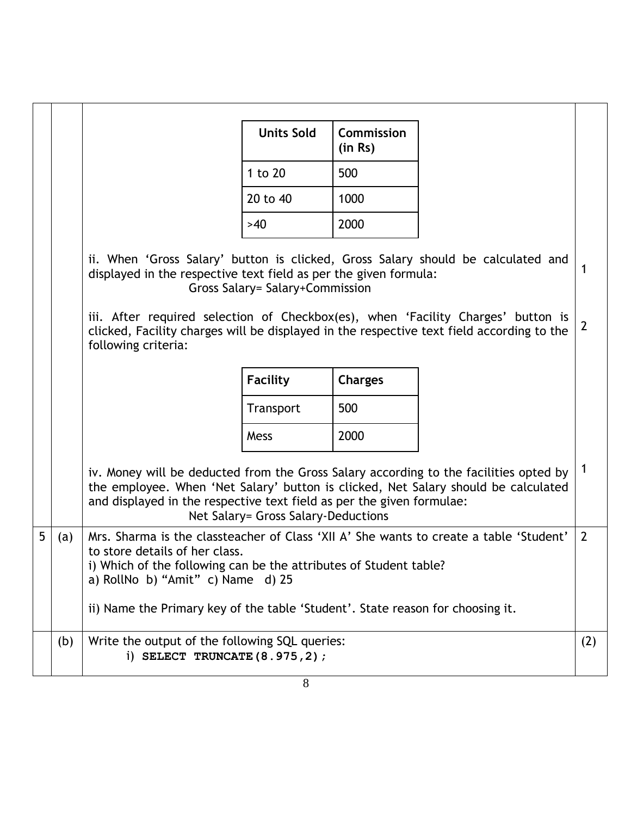|   |     |                                                                                                                                                                                                                                                                                                                                        | <b>Units Sold</b>                   | Commission<br>(in Rs) |  |              |  |  |
|---|-----|----------------------------------------------------------------------------------------------------------------------------------------------------------------------------------------------------------------------------------------------------------------------------------------------------------------------------------------|-------------------------------------|-----------------------|--|--------------|--|--|
|   |     |                                                                                                                                                                                                                                                                                                                                        | 1 to 20                             | 500                   |  |              |  |  |
|   |     |                                                                                                                                                                                                                                                                                                                                        | 20 to 40                            | 1000                  |  |              |  |  |
|   |     |                                                                                                                                                                                                                                                                                                                                        | >40                                 | 2000                  |  |              |  |  |
|   |     | ii. When 'Gross Salary' button is clicked, Gross Salary should be calculated and<br>displayed in the respective text field as per the given formula:                                                                                                                                                                                   | Gross Salary= Salary+Commission     |                       |  |              |  |  |
|   |     | iii. After required selection of Checkbox(es), when 'Facility Charges' button is<br>clicked, Facility charges will be displayed in the respective text field according to the<br>following criteria:                                                                                                                                   |                                     |                       |  | $\mathbf{2}$ |  |  |
|   |     |                                                                                                                                                                                                                                                                                                                                        | <b>Facility</b>                     | <b>Charges</b>        |  |              |  |  |
|   |     |                                                                                                                                                                                                                                                                                                                                        | Transport                           | 500                   |  |              |  |  |
|   |     |                                                                                                                                                                                                                                                                                                                                        | Mess                                | 2000                  |  |              |  |  |
|   |     | iv. Money will be deducted from the Gross Salary according to the facilities opted by<br>the employee. When 'Net Salary' button is clicked, Net Salary should be calculated<br>and displayed in the respective text field as per the given formulae:                                                                                   | Net Salary= Gross Salary-Deductions |                       |  |              |  |  |
| 5 | (a) | $\overline{2}$<br>Mrs. Sharma is the classteacher of Class 'XII A' She wants to create a table 'Student'<br>to store details of her class.<br>i) Which of the following can be the attributes of Student table?<br>a) RollNo b) "Amit" c) Name d) 25<br>ii) Name the Primary key of the table 'Student'. State reason for choosing it. |                                     |                       |  |              |  |  |
|   | (b) | Write the output of the following SQL queries:<br>i) SELECT TRUNCATE $(8.975, 2)$ ;                                                                                                                                                                                                                                                    |                                     |                       |  | (2)          |  |  |
|   |     |                                                                                                                                                                                                                                                                                                                                        | 8                                   |                       |  |              |  |  |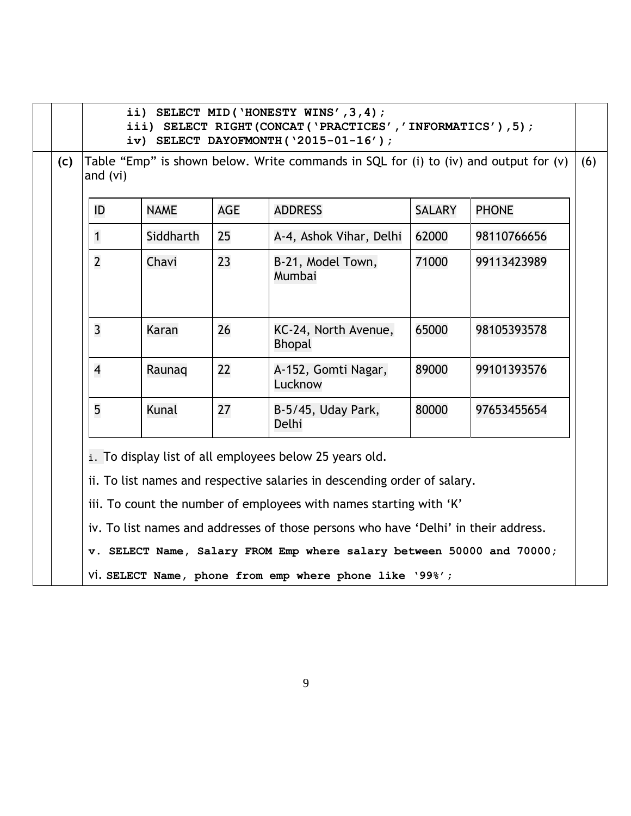|     |                | ii) SELECT MID ('HONESTY WINS', 3, 4);<br>iii) SELECT RIGHT (CONCAT ('PRACTICES','INFORMATICS'), 5);<br>iv) SELECT DAYOFMONTH( $'2015-01-16'$ );                                                                                                                                                 |            |                                                                                                                                  |               |              |  |  |  |  |  |  |
|-----|----------------|--------------------------------------------------------------------------------------------------------------------------------------------------------------------------------------------------------------------------------------------------------------------------------------------------|------------|----------------------------------------------------------------------------------------------------------------------------------|---------------|--------------|--|--|--|--|--|--|
| (c) |                | Table "Emp" is shown below. Write commands in SQL for (i) to (iv) and output for (v)<br>and $(vi)$                                                                                                                                                                                               |            |                                                                                                                                  |               |              |  |  |  |  |  |  |
|     | ID             | <b>NAME</b>                                                                                                                                                                                                                                                                                      | <b>AGE</b> | <b>ADDRESS</b>                                                                                                                   | <b>SALARY</b> | <b>PHONE</b> |  |  |  |  |  |  |
|     | $\mathbf{1}$   | Siddharth                                                                                                                                                                                                                                                                                        | 25         | A-4, Ashok Vihar, Delhi                                                                                                          | 62000         | 98110766656  |  |  |  |  |  |  |
|     | $\overline{2}$ | Chavi                                                                                                                                                                                                                                                                                            | 23         | B-21, Model Town,<br>Mumbai                                                                                                      | 71000         | 99113423989  |  |  |  |  |  |  |
|     | $\overline{3}$ | Karan                                                                                                                                                                                                                                                                                            | 26         | KC-24, North Avenue,<br><b>Bhopal</b>                                                                                            | 65000         | 98105393578  |  |  |  |  |  |  |
|     | $\overline{4}$ | Raunag                                                                                                                                                                                                                                                                                           | 22         | A-152, Gomti Nagar,<br>Lucknow                                                                                                   | 89000         | 99101393576  |  |  |  |  |  |  |
|     | 5              | Kunal                                                                                                                                                                                                                                                                                            | 27         | B-5/45, Uday Park,<br>Delhi                                                                                                      | 80000         | 97653455654  |  |  |  |  |  |  |
|     |                | i. To display list of all employees below 25 years old.<br>ii. To list names and respective salaries in descending order of salary.<br>iii. To count the number of employees with names starting with 'K'<br>iv. To list names and addresses of those persons who have 'Delhi' in their address. |            |                                                                                                                                  |               |              |  |  |  |  |  |  |
|     |                |                                                                                                                                                                                                                                                                                                  |            | v. SELECT Name, Salary FROM Emp where salary between 50000 and 70000;<br>Vi. SELECT Name, phone from emp where phone like '99%'; |               |              |  |  |  |  |  |  |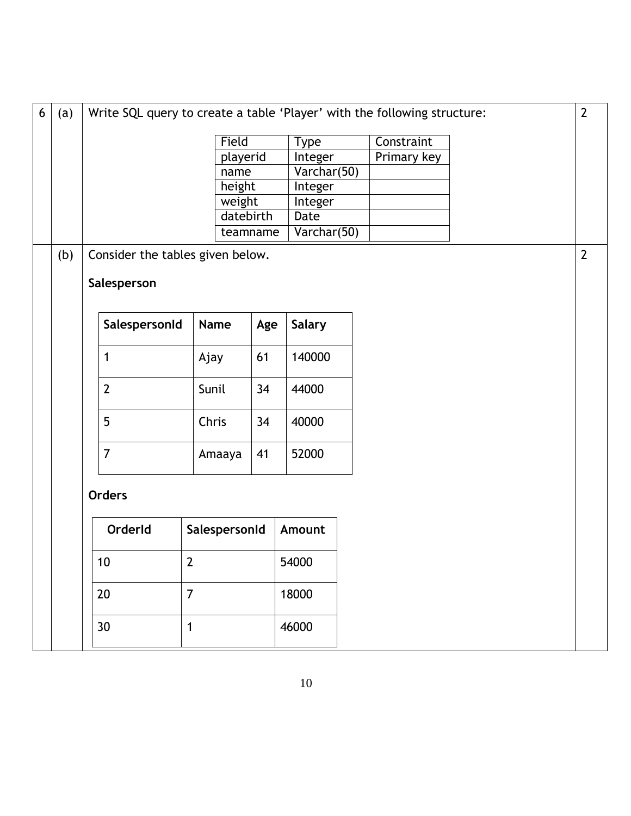| $6\phantom{a}$ | (a) | $\overline{2}$<br>Write SQL query to create a table 'Player' with the following structure: |                |          |               |  |             |  |                |
|----------------|-----|--------------------------------------------------------------------------------------------|----------------|----------|---------------|--|-------------|--|----------------|
|                |     |                                                                                            | Field          |          | <b>Type</b>   |  | Constraint  |  |                |
|                |     |                                                                                            | playerid       |          | Integer       |  | Primary key |  |                |
|                |     |                                                                                            | name           |          | Varchar(50)   |  |             |  |                |
|                |     |                                                                                            | height         |          | Integer       |  |             |  |                |
|                |     |                                                                                            | weight         |          | Integer       |  |             |  |                |
|                |     |                                                                                            | datebirth      |          | Date          |  |             |  |                |
|                |     |                                                                                            |                | teamname | Varchar(50)   |  |             |  |                |
|                | (b) | Consider the tables given below.                                                           |                |          |               |  |             |  | $\overline{2}$ |
|                |     | Salesperson                                                                                |                |          |               |  |             |  |                |
|                |     | SalespersonId                                                                              | <b>Name</b>    | Age      | <b>Salary</b> |  |             |  |                |
|                |     | 1<br>Ajay                                                                                  |                | 61       | 140000        |  |             |  |                |
|                |     | $\overline{2}$                                                                             | Sunil          | 34       | 44000         |  |             |  |                |
|                |     | 5                                                                                          | Chris          | 34       | 40000         |  |             |  |                |
|                |     | $\overline{7}$                                                                             | Amaaya         | 41       | 52000         |  |             |  |                |
|                |     | <b>Orders</b>                                                                              |                |          |               |  |             |  |                |
|                |     | OrderId                                                                                    | SalespersonId  |          | Amount        |  |             |  |                |
|                |     | $\mathbf{2}$<br>10 <sup>°</sup>                                                            |                | 54000    |               |  |             |  |                |
|                |     | 20                                                                                         | $\overline{7}$ |          | 18000         |  |             |  |                |
|                |     | 30                                                                                         | $\mathbf 1$    |          | 46000         |  |             |  |                |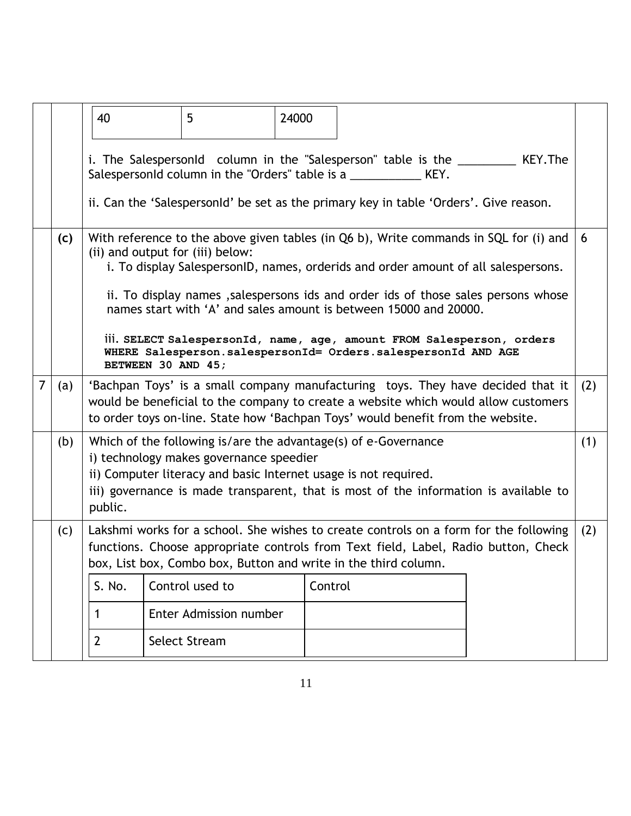|                |     | 40                                                                                                                                                                                                                                                       | 5                                                                                                                                                                                                                                                                     | 24000 |  |  |  |                                                                                                                                                                                                                                                                  |     |
|----------------|-----|----------------------------------------------------------------------------------------------------------------------------------------------------------------------------------------------------------------------------------------------------------|-----------------------------------------------------------------------------------------------------------------------------------------------------------------------------------------------------------------------------------------------------------------------|-------|--|--|--|------------------------------------------------------------------------------------------------------------------------------------------------------------------------------------------------------------------------------------------------------------------|-----|
|                |     |                                                                                                                                                                                                                                                          | SalespersonId column in the "Orders" table is a _____________ KEY.<br>ii. Can the 'Salespersonid' be set as the primary key in table 'Orders'. Give reason.                                                                                                           |       |  |  |  | i. The SalespersonId column in the "Salesperson" table is the __________ KEY. The                                                                                                                                                                                |     |
|                | (c) |                                                                                                                                                                                                                                                          | (ii) and output for (iii) below:<br>names start with 'A' and sales amount is between 15000 and 20000.<br>iii. SELECT SalespersonId, name, age, amount FROM Salesperson, orders<br>WHERE Salesperson.salespersonId= Orders.salespersonId AND AGE<br>BETWEEN 30 AND 45; |       |  |  |  | With reference to the above given tables (in Q6 b), Write commands in SQL for (i) and<br>i. To display SalespersonID, names, orderids and order amount of all salespersons.<br>ii. To display names, salespersons ids and order ids of those sales persons whose | 6   |
| $\overline{7}$ | (a) | 'Bachpan Toys' is a small company manufacturing toys. They have decided that it<br>would be beneficial to the company to create a website which would allow customers<br>to order toys on-line. State how 'Bachpan Toys' would benefit from the website. |                                                                                                                                                                                                                                                                       |       |  |  |  |                                                                                                                                                                                                                                                                  | (2) |
|                | (b) | public.                                                                                                                                                                                                                                                  | Which of the following is/are the advantage(s) of e-Governance<br>i) technology makes governance speedier<br>ii) Computer literacy and basic Internet usage is not required.                                                                                          |       |  |  |  | iii) governance is made transparent, that is most of the information is available to                                                                                                                                                                             | (1) |
|                | (c) |                                                                                                                                                                                                                                                          | box, List box, Combo box, Button and write in the third column.                                                                                                                                                                                                       |       |  |  |  | Lakshmi works for a school. She wishes to create controls on a form for the following<br>functions. Choose appropriate controls from Text field, Label, Radio button, Check                                                                                      | (2) |
|                |     | Control used to<br>Control<br>S. No.                                                                                                                                                                                                                     |                                                                                                                                                                                                                                                                       |       |  |  |  |                                                                                                                                                                                                                                                                  |     |
|                |     | 1                                                                                                                                                                                                                                                        | Enter Admission number                                                                                                                                                                                                                                                |       |  |  |  |                                                                                                                                                                                                                                                                  |     |
|                |     | $\overline{2}$                                                                                                                                                                                                                                           | <b>Select Stream</b>                                                                                                                                                                                                                                                  |       |  |  |  |                                                                                                                                                                                                                                                                  |     |